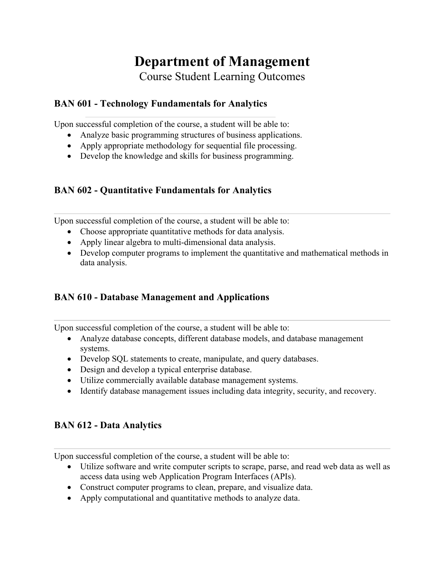# **Department of Management** Course Student Learning Outcomes

### **BAN 601 - Technology Fundamentals for Analytics**

Upon successful completion of the course, a student will be able to:

- Analyze basic programming structures of business applications.
- Apply appropriate methodology for sequential file processing.
- Develop the knowledge and skills for business programming.

### **BAN 602 - Quantitative Fundamentals for Analytics**

Upon successful completion of the course, a student will be able to:

- Choose appropriate quantitative methods for data analysis.
- Apply linear algebra to multi-dimensional data analysis.
- Develop computer programs to implement the quantitative and mathematical methods in data analysis.

#### **BAN 610 - Database Management and Applications**

Upon successful completion of the course, a student will be able to:

- Analyze database concepts, different database models, and database management systems.
- Develop SQL statements to create, manipulate, and query databases.
- Design and develop a typical enterprise database.
- Utilize commercially available database management systems.
- Identify database management issues including data integrity, security, and recovery.

### **BAN 612 - Data Analytics**

- Utilize software and write computer scripts to scrape, parse, and read web data as well as access data using web Application Program Interfaces (APIs).
- Construct computer programs to clean, prepare, and visualize data.
- Apply computational and quantitative methods to analyze data.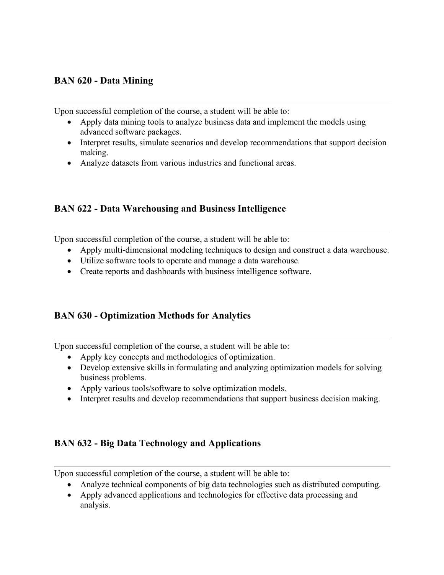### **BAN 620 - Data Mining**

Upon successful completion of the course, a student will be able to:

- Apply data mining tools to analyze business data and implement the models using advanced software packages.
- Interpret results, simulate scenarios and develop recommendations that support decision making.
- Analyze datasets from various industries and functional areas.

#### **BAN 622 - Data Warehousing and Business Intelligence**

Upon successful completion of the course, a student will be able to:

- Apply multi-dimensional modeling techniques to design and construct a data warehouse.
- Utilize software tools to operate and manage a data warehouse.
- Create reports and dashboards with business intelligence software.

#### **BAN 630 - Optimization Methods for Analytics**

Upon successful completion of the course, a student will be able to:

- Apply key concepts and methodologies of optimization.
- Develop extensive skills in formulating and analyzing optimization models for solving business problems.
- Apply various tools/software to solve optimization models.
- Interpret results and develop recommendations that support business decision making.

#### **BAN 632 - Big Data Technology and Applications**

- Analyze technical components of big data technologies such as distributed computing.
- Apply advanced applications and technologies for effective data processing and analysis.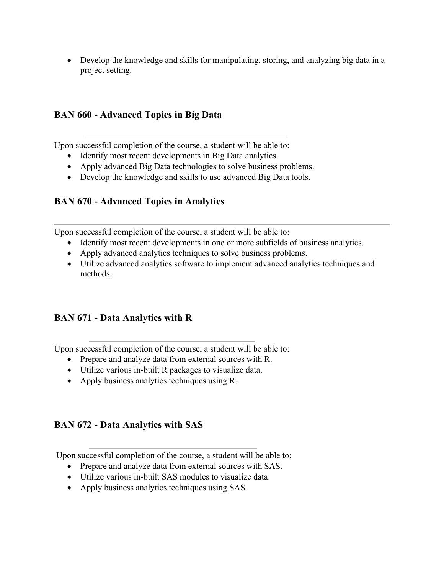• Develop the knowledge and skills for manipulating, storing, and analyzing big data in a project setting.

#### **BAN 660 - Advanced Topics in Big Data**

Upon successful completion of the course, a student will be able to:

- Identify most recent developments in Big Data analytics.
- Apply advanced Big Data technologies to solve business problems.
- Develop the knowledge and skills to use advanced Big Data tools.

#### **BAN 670 - Advanced Topics in Analytics**

Upon successful completion of the course, a student will be able to:

- Identify most recent developments in one or more subfields of business analytics.
- Apply advanced analytics techniques to solve business problems.
- Utilize advanced analytics software to implement advanced analytics techniques and methods.

#### **BAN 671 - Data Analytics with R**

Upon successful completion of the course, a student will be able to:

- Prepare and analyze data from external sources with R.
- Utilize various in-built R packages to visualize data.
- Apply business analytics techniques using R.

#### **BAN 672 - Data Analytics with SAS**

- Prepare and analyze data from external sources with SAS.
- Utilize various in-built SAS modules to visualize data.
- Apply business analytics techniques using SAS.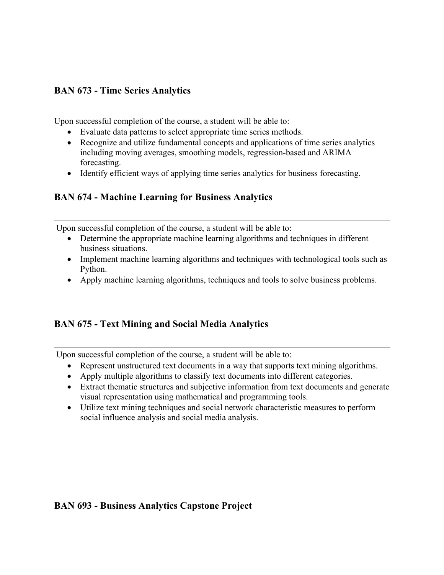### **BAN 673 - Time Series Analytics**

Upon successful completion of the course, a student will be able to:

- Evaluate data patterns to select appropriate time series methods.
- Recognize and utilize fundamental concepts and applications of time series analytics including moving averages, smoothing models, regression-based and ARIMA forecasting.
- Identify efficient ways of applying time series analytics for business forecasting.

### **BAN 674 - Machine Learning for Business Analytics**

Upon successful completion of the course, a student will be able to:

- Determine the appropriate machine learning algorithms and techniques in different business situations.
- Implement machine learning algorithms and techniques with technological tools such as Python.
- Apply machine learning algorithms, techniques and tools to solve business problems.

### **BAN 675 - Text Mining and Social Media Analytics**

Upon successful completion of the course, a student will be able to:

- Represent unstructured text documents in a way that supports text mining algorithms.
- Apply multiple algorithms to classify text documents into different categories.
- Extract thematic structures and subjective information from text documents and generate visual representation using mathematical and programming tools.
- Utilize text mining techniques and social network characteristic measures to perform social influence analysis and social media analysis.

### **BAN 693 - Business Analytics Capstone Project**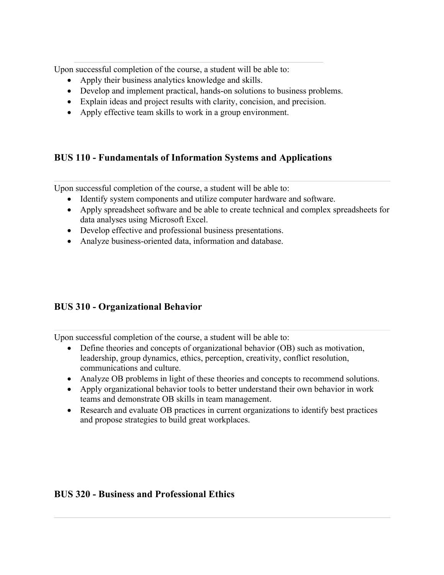Upon successful completion of the course, a student will be able to:

- Apply their business analytics knowledge and skills.
- Develop and implement practical, hands-on solutions to business problems.
- Explain ideas and project results with clarity, concision, and precision.
- Apply effective team skills to work in a group environment.

### **BUS 110 - Fundamentals of Information Systems and Applications**

Upon successful completion of the course, a student will be able to:

- Identify system components and utilize computer hardware and software.
- Apply spreadsheet software and be able to create technical and complex spreadsheets for data analyses using Microsoft Excel.
- Develop effective and professional business presentations.
- Analyze business-oriented data, information and database.

### **BUS 310 - Organizational Behavior**

Upon successful completion of the course, a student will be able to:

- Define theories and concepts of organizational behavior (OB) such as motivation, leadership, group dynamics, ethics, perception, creativity, conflict resolution, communications and culture.
- Analyze OB problems in light of these theories and concepts to recommend solutions.
- Apply organizational behavior tools to better understand their own behavior in work teams and demonstrate OB skills in team management.
- Research and evaluate OB practices in current organizations to identify best practices and propose strategies to build great workplaces.

### **BUS 320 - Business and Professional Ethics**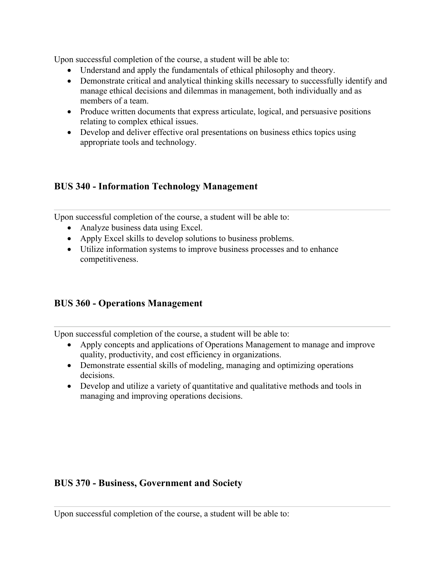Upon successful completion of the course, a student will be able to:

- Understand and apply the fundamentals of ethical philosophy and theory.
- Demonstrate critical and analytical thinking skills necessary to successfully identify and manage ethical decisions and dilemmas in management, both individually and as members of a team.
- Produce written documents that express articulate, logical, and persuasive positions relating to complex ethical issues.
- Develop and deliver effective oral presentations on business ethics topics using appropriate tools and technology.

#### **BUS 340 - Information Technology Management**

Upon successful completion of the course, a student will be able to:

- Analyze business data using Excel.
- Apply Excel skills to develop solutions to business problems.
- Utilize information systems to improve business processes and to enhance competitiveness.

#### **BUS 360 - Operations Management**

Upon successful completion of the course, a student will be able to:

- Apply concepts and applications of Operations Management to manage and improve quality, productivity, and cost efficiency in organizations.
- Demonstrate essential skills of modeling, managing and optimizing operations decisions.
- Develop and utilize a variety of quantitative and qualitative methods and tools in managing and improving operations decisions.

#### **BUS 370 - Business, Government and Society**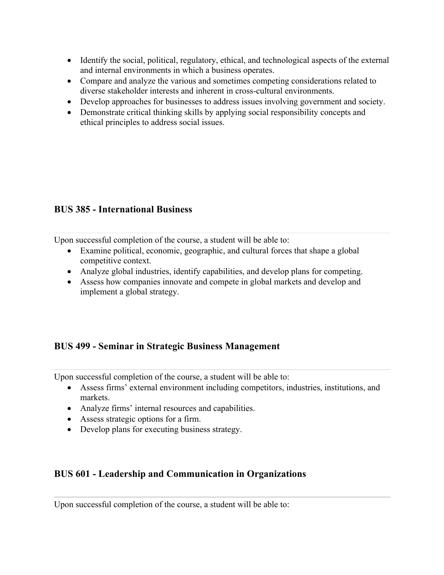- Identify the social, political, regulatory, ethical, and technological aspects of the external and internal environments in which a business operates.
- Compare and analyze the various and sometimes competing considerations related to diverse stakeholder interests and inherent in cross-cultural environments.
- Develop approaches for businesses to address issues involving government and society.
- Demonstrate critical thinking skills by applying social responsibility concepts and ethical principles to address social issues.

### **BUS 385 - International Business**

Upon successful completion of the course, a student will be able to:

- Examine political, economic, geographic, and cultural forces that shape a global competitive context.
- Analyze global industries, identify capabilities, and develop plans for competing.
- Assess how companies innovate and compete in global markets and develop and implement a global strategy.

#### **BUS 499 - Seminar in Strategic Business Management**

Upon successful completion of the course, a student will be able to:

- Assess firms' external environment including competitors, industries, institutions, and markets.
- Analyze firms' internal resources and capabilities.
- Assess strategic options for a firm.
- Develop plans for executing business strategy.

#### **BUS 601 - Leadership and Communication in Organizations**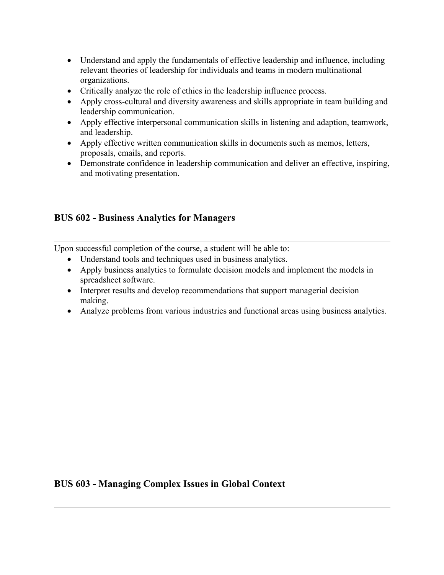- Understand and apply the fundamentals of effective leadership and influence, including relevant theories of leadership for individuals and teams in modern multinational organizations.
- Critically analyze the role of ethics in the leadership influence process.
- Apply cross-cultural and diversity awareness and skills appropriate in team building and leadership communication.
- Apply effective interpersonal communication skills in listening and adaption, teamwork, and leadership.
- Apply effective written communication skills in documents such as memos, letters, proposals, emails, and reports.
- Demonstrate confidence in leadership communication and deliver an effective, inspiring, and motivating presentation.

### **BUS 602 - Business Analytics for Managers**

Upon successful completion of the course, a student will be able to:

- Understand tools and techniques used in business analytics.
- Apply business analytics to formulate decision models and implement the models in spreadsheet software.
- Interpret results and develop recommendations that support managerial decision making.
- Analyze problems from various industries and functional areas using business analytics.

#### **BUS 603 - Managing Complex Issues in Global Context**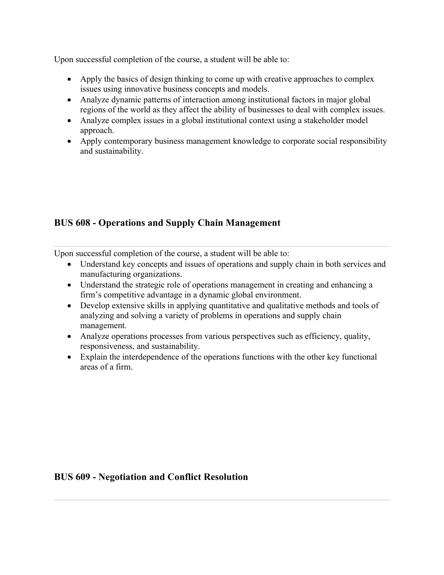Upon successful completion of the course, a student will be able to:

- Apply the basics of design thinking to come up with creative approaches to complex issues using innovative business concepts and models.
- Analyze dynamic patterns of interaction among institutional factors in major global regions of the world as they affect the ability of businesses to deal with complex issues.
- Analyze complex issues in a global institutional context using a stakeholder model approach.
- Apply contemporary business management knowledge to corporate social responsibility and sustainability.

### **BUS 608 - Operations and Supply Chain Management**

Upon successful completion of the course, a student will be able to:

- Understand key concepts and issues of operations and supply chain in both services and manufacturing organizations.
- Understand the strategic role of operations management in creating and enhancing a firm's competitive advantage in a dynamic global environment.
- Develop extensive skills in applying quantitative and qualitative methods and tools of analyzing and solving a variety of problems in operations and supply chain management.
- Analyze operations processes from various perspectives such as efficiency, quality, responsiveness, and sustainability.
- Explain the interdependence of the operations functions with the other key functional areas of a firm.

#### **BUS 609 - Negotiation and Conflict Resolution**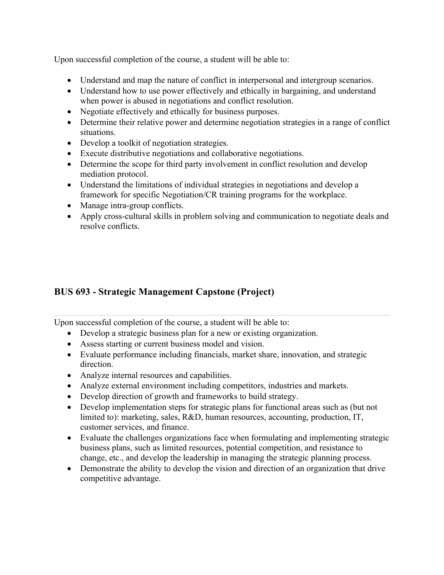Upon successful completion of the course, a student will be able to:

- Understand and map the nature of conflict in interpersonal and intergroup scenarios.
- Understand how to use power effectively and ethically in bargaining, and understand when power is abused in negotiations and conflict resolution.
- Negotiate effectively and ethically for business purposes.
- Determine their relative power and determine negotiation strategies in a range of conflict situations.
- Develop a toolkit of negotiation strategies.
- Execute distributive negotiations and collaborative negotiations.
- Determine the scope for third party involvement in conflict resolution and develop mediation protocol.
- Understand the limitations of individual strategies in negotiations and develop a framework for specific Negotiation/CR training programs for the workplace.
- Manage intra-group conflicts.
- Apply cross-cultural skills in problem solving and communication to negotiate deals and resolve conflicts.

### **BUS 693 - Strategic Management Capstone (Project)**

- Develop a strategic business plan for a new or existing organization.
- Assess starting or current business model and vision.
- Evaluate performance including financials, market share, innovation, and strategic direction.
- Analyze internal resources and capabilities.
- Analyze external environment including competitors, industries and markets.
- Develop direction of growth and frameworks to build strategy.
- Develop implementation steps for strategic plans for functional areas such as (but not limited to): marketing, sales, R&D, human resources, accounting, production, IT, customer services, and finance.
- Evaluate the challenges organizations face when formulating and implementing strategic business plans, such as limited resources, potential competition, and resistance to change, etc., and develop the leadership in managing the strategic planning process.
- Demonstrate the ability to develop the vision and direction of an organization that drive competitive advantage.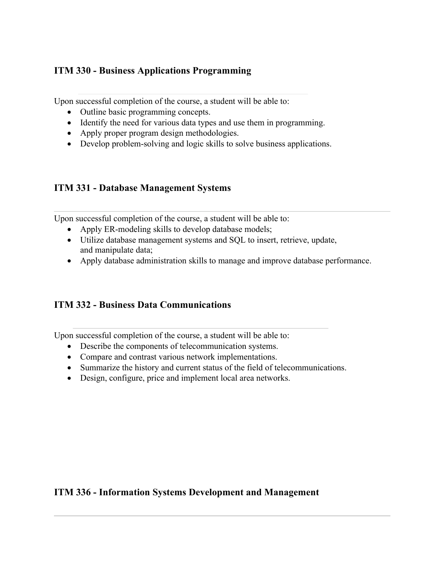### **ITM 330 - Business Applications Programming**

Upon successful completion of the course, a student will be able to:

- Outline basic programming concepts.
- Identify the need for various data types and use them in programming.
- Apply proper program design methodologies.
- Develop problem-solving and logic skills to solve business applications.

#### **ITM 331 - Database Management Systems**

Upon successful completion of the course, a student will be able to:

- Apply ER-modeling skills to develop database models;
- Utilize database management systems and SQL to insert, retrieve, update, and manipulate data;
- Apply database administration skills to manage and improve database performance.

#### **ITM 332 - Business Data Communications**

Upon successful completion of the course, a student will be able to:

- Describe the components of telecommunication systems.
- Compare and contrast various network implementations.
- Summarize the history and current status of the field of telecommunications.
- Design, configure, price and implement local area networks.

#### **ITM 336 - Information Systems Development and Management**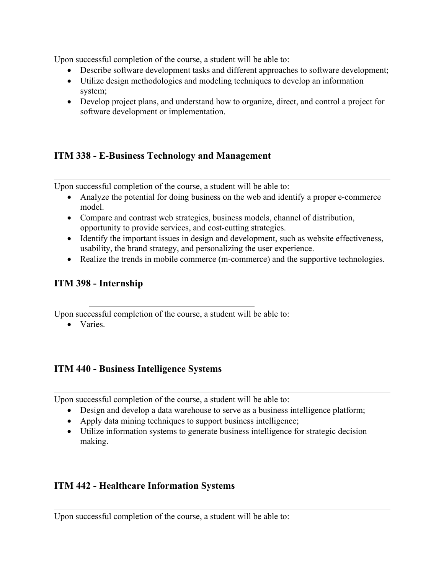Upon successful completion of the course, a student will be able to:

- Describe software development tasks and different approaches to software development;
- Utilize design methodologies and modeling techniques to develop an information system;
- Develop project plans, and understand how to organize, direct, and control a project for software development or implementation.

# **ITM 338 - E-Business Technology and Management**

Upon successful completion of the course, a student will be able to:

- Analyze the potential for doing business on the web and identify a proper e-commerce model.
- Compare and contrast web strategies, business models, channel of distribution, opportunity to provide services, and cost-cutting strategies.
- Identify the important issues in design and development, such as website effectiveness, usability, the brand strategy, and personalizing the user experience.
- Realize the trends in mobile commerce (m-commerce) and the supportive technologies.

### **ITM 398 - Internship**

Upon successful completion of the course, a student will be able to:

• Varies.

### **ITM 440 - Business Intelligence Systems**

Upon successful completion of the course, a student will be able to:

- Design and develop a data warehouse to serve as a business intelligence platform;
- Apply data mining techniques to support business intelligence;
- Utilize information systems to generate business intelligence for strategic decision making.

### **ITM 442 - Healthcare Information Systems**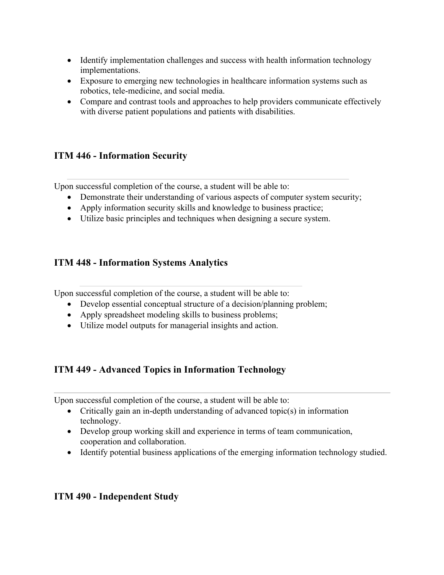- Identify implementation challenges and success with health information technology implementations.
- Exposure to emerging new technologies in healthcare information systems such as robotics, tele-medicine, and social media.
- Compare and contrast tools and approaches to help providers communicate effectively with diverse patient populations and patients with disabilities.

### **ITM 446 - Information Security**

Upon successful completion of the course, a student will be able to:

- Demonstrate their understanding of various aspects of computer system security;
- Apply information security skills and knowledge to business practice;
- Utilize basic principles and techniques when designing a secure system.

### **ITM 448 - Information Systems Analytics**

Upon successful completion of the course, a student will be able to:

- Develop essential conceptual structure of a decision/planning problem;
- Apply spreadsheet modeling skills to business problems;
- Utilize model outputs for managerial insights and action.

### **ITM 449 - Advanced Topics in Information Technology**

Upon successful completion of the course, a student will be able to:

- Critically gain an in-depth understanding of advanced topic(s) in information technology.
- Develop group working skill and experience in terms of team communication, cooperation and collaboration.
- Identify potential business applications of the emerging information technology studied.

#### **ITM 490 - Independent Study**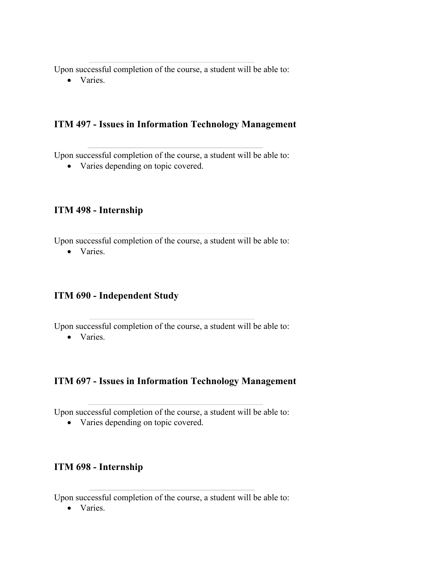Upon successful completion of the course, a student will be able to:

• Varies.

#### **ITM 497 - Issues in Information Technology Management**

Upon successful completion of the course, a student will be able to:

• Varies depending on topic covered.

#### **ITM 498 - Internship**

Upon successful completion of the course, a student will be able to:

• Varies.

#### **ITM 690 - Independent Study**

Upon successful completion of the course, a student will be able to:

• Varies.

#### **ITM 697 - Issues in Information Technology Management**

Upon successful completion of the course, a student will be able to:

• Varies depending on topic covered.

### **ITM 698 - Internship**

Upon successful completion of the course, a student will be able to:

• Varies.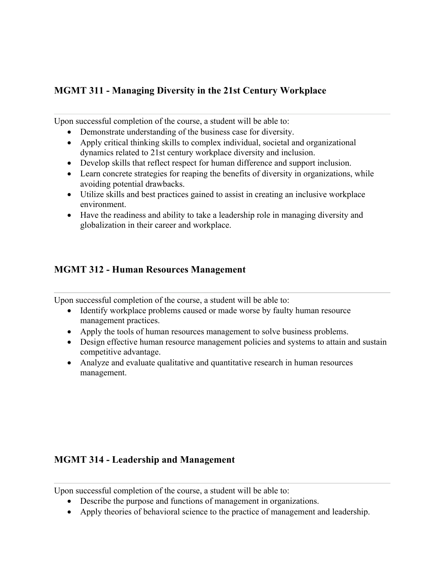### **MGMT 311 - Managing Diversity in the 21st Century Workplace**

Upon successful completion of the course, a student will be able to:

- Demonstrate understanding of the business case for diversity.
- Apply critical thinking skills to complex individual, societal and organizational dynamics related to 21st century workplace diversity and inclusion.
- Develop skills that reflect respect for human difference and support inclusion.
- Learn concrete strategies for reaping the benefits of diversity in organizations, while avoiding potential drawbacks.
- Utilize skills and best practices gained to assist in creating an inclusive workplace environment.
- Have the readiness and ability to take a leadership role in managing diversity and globalization in their career and workplace.

### **MGMT 312 - Human Resources Management**

Upon successful completion of the course, a student will be able to:

- Identify workplace problems caused or made worse by faulty human resource management practices.
- Apply the tools of human resources management to solve business problems.
- Design effective human resource management policies and systems to attain and sustain competitive advantage.
- Analyze and evaluate qualitative and quantitative research in human resources management.

#### **MGMT 314 - Leadership and Management**

- Describe the purpose and functions of management in organizations.
- Apply theories of behavioral science to the practice of management and leadership.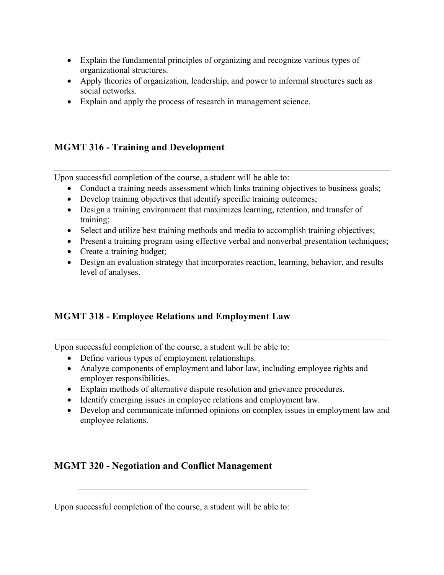- Explain the fundamental principles of organizing and recognize various types of organizational structures.
- Apply theories of organization, leadership, and power to informal structures such as social networks.
- Explain and apply the process of research in management science.

### **MGMT 316 - Training and Development**

Upon successful completion of the course, a student will be able to:

- Conduct a training needs assessment which links training objectives to business goals;
- Develop training objectives that identify specific training outcomes;
- Design a training environment that maximizes learning, retention, and transfer of training;
- Select and utilize best training methods and media to accomplish training objectives;
- Present a training program using effective verbal and nonverbal presentation techniques;
- Create a training budget;
- Design an evaluation strategy that incorporates reaction, learning, behavior, and results level of analyses.

# **MGMT 318 - Employee Relations and Employment Law**

Upon successful completion of the course, a student will be able to:

- Define various types of employment relationships.
- Analyze components of employment and labor law, including employee rights and employer responsibilities.
- Explain methods of alternative dispute resolution and grievance procedures.
- Identify emerging issues in employee relations and employment law.
- Develop and communicate informed opinions on complex issues in employment law and employee relations.

# **MGMT 320 - Negotiation and Conflict Management**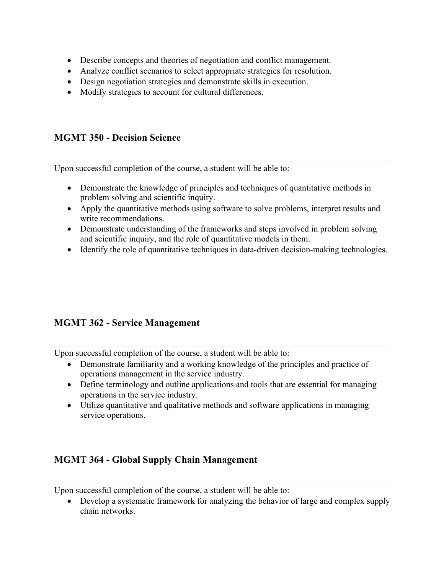- Describe concepts and theories of negotiation and conflict management.
- Analyze conflict scenarios to select appropriate strategies for resolution.
- Design negotiation strategies and demonstrate skills in execution.
- Modify strategies to account for cultural differences.

### **MGMT 350 - Decision Science**

Upon successful completion of the course, a student will be able to:

- Demonstrate the knowledge of principles and techniques of quantitative methods in problem solving and scientific inquiry.
- Apply the quantitative methods using software to solve problems, interpret results and write recommendations.
- Demonstrate understanding of the frameworks and steps involved in problem solving and scientific inquiry, and the role of quantitative models in them.
- Identify the role of quantitative techniques in data-driven decision-making technologies.

### **MGMT 362 - Service Management**

Upon successful completion of the course, a student will be able to:

- Demonstrate familiarity and a working knowledge of the principles and practice of operations management in the service industry.
- Define terminology and outline applications and tools that are essential for managing operations in the service industry.
- Utilize quantitative and qualitative methods and software applications in managing service operations.

### **MGMT 364 - Global Supply Chain Management**

Upon successful completion of the course, a student will be able to:

• Develop a systematic framework for analyzing the behavior of large and complex supply chain networks.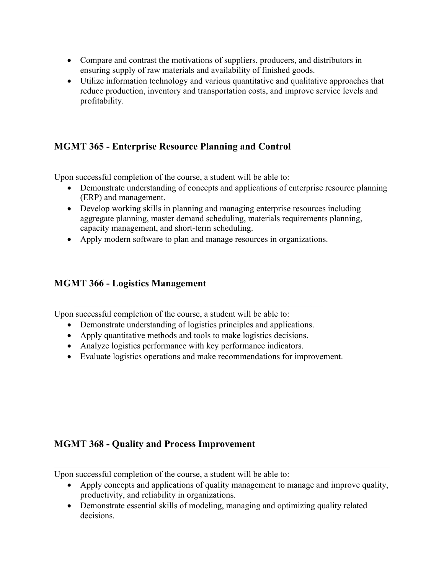- Compare and contrast the motivations of suppliers, producers, and distributors in ensuring supply of raw materials and availability of finished goods.
- Utilize information technology and various quantitative and qualitative approaches that reduce production, inventory and transportation costs, and improve service levels and profitability.

### **MGMT 365 - Enterprise Resource Planning and Control**

Upon successful completion of the course, a student will be able to:

- Demonstrate understanding of concepts and applications of enterprise resource planning (ERP) and management.
- Develop working skills in planning and managing enterprise resources including aggregate planning, master demand scheduling, materials requirements planning, capacity management, and short-term scheduling.
- Apply modern software to plan and manage resources in organizations.

#### **MGMT 366 - Logistics Management**

Upon successful completion of the course, a student will be able to:

- Demonstrate understanding of logistics principles and applications.
- Apply quantitative methods and tools to make logistics decisions.
- Analyze logistics performance with key performance indicators.
- Evaluate logistics operations and make recommendations for improvement.

#### **MGMT 368 - Quality and Process Improvement**

- Apply concepts and applications of quality management to manage and improve quality, productivity, and reliability in organizations.
- Demonstrate essential skills of modeling, managing and optimizing quality related decisions.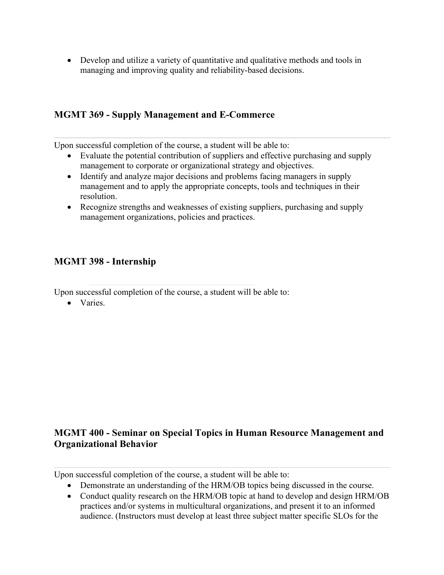• Develop and utilize a variety of quantitative and qualitative methods and tools in managing and improving quality and reliability-based decisions.

#### **MGMT 369 - Supply Management and E-Commerce**

Upon successful completion of the course, a student will be able to:

- Evaluate the potential contribution of suppliers and effective purchasing and supply management to corporate or organizational strategy and objectives.
- Identify and analyze major decisions and problems facing managers in supply management and to apply the appropriate concepts, tools and techniques in their resolution.
- Recognize strengths and weaknesses of existing suppliers, purchasing and supply management organizations, policies and practices.

#### **MGMT 398 - Internship**

Upon successful completion of the course, a student will be able to:

• Varies.

### **MGMT 400 - Seminar on Special Topics in Human Resource Management and Organizational Behavior**

- Demonstrate an understanding of the HRM/OB topics being discussed in the course.
- Conduct quality research on the HRM/OB topic at hand to develop and design HRM/OB practices and/or systems in multicultural organizations, and present it to an informed audience. (Instructors must develop at least three subject matter specific SLOs for the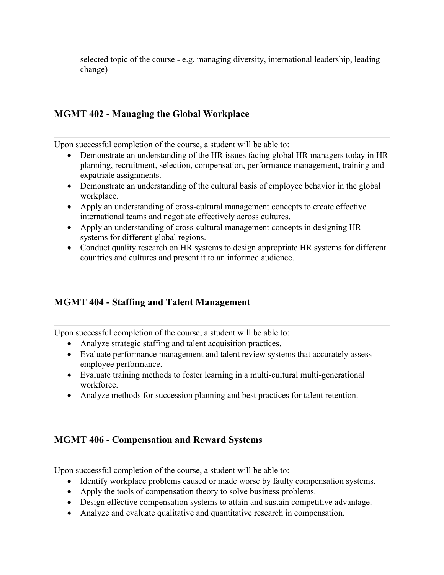selected topic of the course - e.g. managing diversity, international leadership, leading change)

#### **MGMT 402 - Managing the Global Workplace**

Upon successful completion of the course, a student will be able to:

- Demonstrate an understanding of the HR issues facing global HR managers today in HR planning, recruitment, selection, compensation, performance management, training and expatriate assignments.
- Demonstrate an understanding of the cultural basis of employee behavior in the global workplace.
- Apply an understanding of cross-cultural management concepts to create effective international teams and negotiate effectively across cultures.
- Apply an understanding of cross-cultural management concepts in designing HR systems for different global regions.
- Conduct quality research on HR systems to design appropriate HR systems for different countries and cultures and present it to an informed audience.

#### **MGMT 404 - Staffing and Talent Management**

Upon successful completion of the course, a student will be able to:

- Analyze strategic staffing and talent acquisition practices.
- Evaluate performance management and talent review systems that accurately assess employee performance.
- Evaluate training methods to foster learning in a multi-cultural multi-generational workforce.
- Analyze methods for succession planning and best practices for talent retention.

#### **MGMT 406 - Compensation and Reward Systems**

- Identify workplace problems caused or made worse by faulty compensation systems.
- Apply the tools of compensation theory to solve business problems.
- Design effective compensation systems to attain and sustain competitive advantage.
- Analyze and evaluate qualitative and quantitative research in compensation.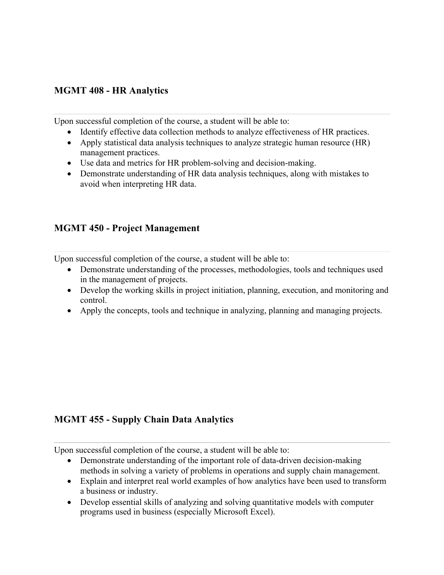#### **MGMT 408 - HR Analytics**

Upon successful completion of the course, a student will be able to:

- Identify effective data collection methods to analyze effectiveness of HR practices.
- Apply statistical data analysis techniques to analyze strategic human resource (HR) management practices.
- Use data and metrics for HR problem-solving and decision-making.
- Demonstrate understanding of HR data analysis techniques, along with mistakes to avoid when interpreting HR data.

## **MGMT 450 - Project Management**

Upon successful completion of the course, a student will be able to:

- Demonstrate understanding of the processes, methodologies, tools and techniques used in the management of projects.
- Develop the working skills in project initiation, planning, execution, and monitoring and control.
- Apply the concepts, tools and technique in analyzing, planning and managing projects.

# **MGMT 455 - Supply Chain Data Analytics**

- Demonstrate understanding of the important role of data-driven decision-making methods in solving a variety of problems in operations and supply chain management.
- Explain and interpret real world examples of how analytics have been used to transform a business or industry.
- Develop essential skills of analyzing and solving quantitative models with computer programs used in business (especially Microsoft Excel).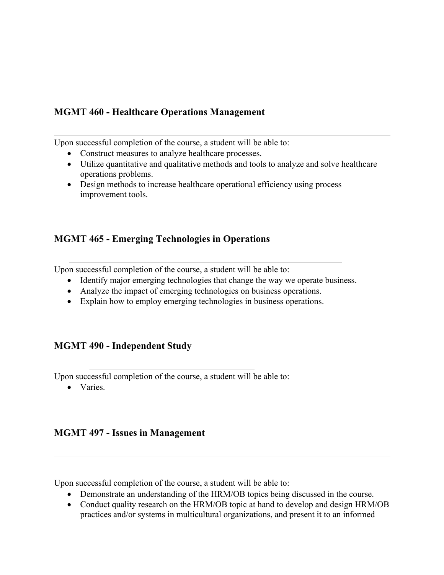### **MGMT 460 - Healthcare Operations Management**

Upon successful completion of the course, a student will be able to:

- Construct measures to analyze healthcare processes.
- Utilize quantitative and qualitative methods and tools to analyze and solve healthcare operations problems.
- Design methods to increase healthcare operational efficiency using process improvement tools.

### **MGMT 465 - Emerging Technologies in Operations**

Upon successful completion of the course, a student will be able to:

- Identify major emerging technologies that change the way we operate business.
- Analyze the impact of emerging technologies on business operations.
- Explain how to employ emerging technologies in business operations.

#### **MGMT 490 - Independent Study**

Upon successful completion of the course, a student will be able to:

• Varies.

#### **MGMT 497 - Issues in Management**

- Demonstrate an understanding of the HRM/OB topics being discussed in the course.
- Conduct quality research on the HRM/OB topic at hand to develop and design HRM/OB practices and/or systems in multicultural organizations, and present it to an informed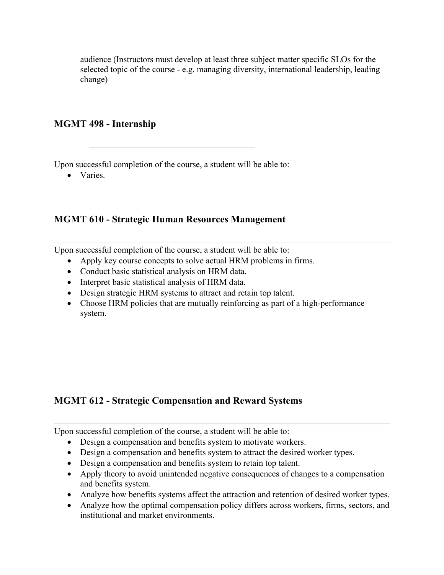audience (Instructors must develop at least three subject matter specific SLOs for the selected topic of the course - e.g. managing diversity, international leadership, leading change)

#### **MGMT 498 - Internship**

Upon successful completion of the course, a student will be able to:

• Varies.

#### **MGMT 610 - Strategic Human Resources Management**

Upon successful completion of the course, a student will be able to:

- Apply key course concepts to solve actual HRM problems in firms.
- Conduct basic statistical analysis on HRM data.
- Interpret basic statistical analysis of HRM data.
- Design strategic HRM systems to attract and retain top talent.
- Choose HRM policies that are mutually reinforcing as part of a high-performance system.

#### **MGMT 612 - Strategic Compensation and Reward Systems**

- Design a compensation and benefits system to motivate workers.
- Design a compensation and benefits system to attract the desired worker types.
- Design a compensation and benefits system to retain top talent.
- Apply theory to avoid unintended negative consequences of changes to a compensation and benefits system.
- Analyze how benefits systems affect the attraction and retention of desired worker types.
- Analyze how the optimal compensation policy differs across workers, firms, sectors, and institutional and market environments.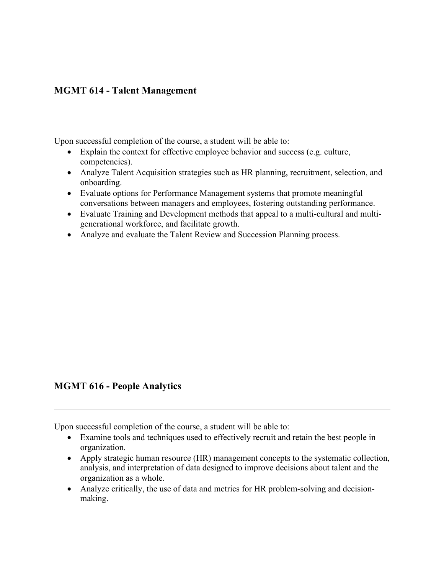### **MGMT 614 - Talent Management**

Upon successful completion of the course, a student will be able to:

- Explain the context for effective employee behavior and success (e.g. culture, competencies).
- Analyze Talent Acquisition strategies such as HR planning, recruitment, selection, and onboarding.
- Evaluate options for Performance Management systems that promote meaningful conversations between managers and employees, fostering outstanding performance.
- Evaluate Training and Development methods that appeal to a multi-cultural and multigenerational workforce, and facilitate growth.
- Analyze and evaluate the Talent Review and Succession Planning process.

#### **MGMT 616 - People Analytics**

- Examine tools and techniques used to effectively recruit and retain the best people in organization.
- Apply strategic human resource (HR) management concepts to the systematic collection, analysis, and interpretation of data designed to improve decisions about talent and the organization as a whole.
- Analyze critically, the use of data and metrics for HR problem-solving and decisionmaking.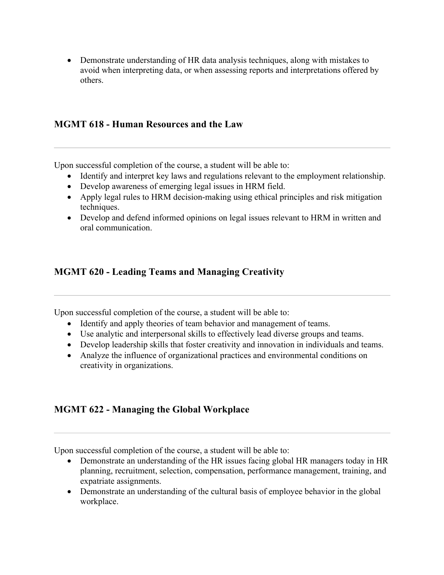• Demonstrate understanding of HR data analysis techniques, along with mistakes to avoid when interpreting data, or when assessing reports and interpretations offered by others.

#### **MGMT 618 - Human Resources and the Law**

Upon successful completion of the course, a student will be able to:

- Identify and interpret key laws and regulations relevant to the employment relationship.
- Develop awareness of emerging legal issues in HRM field.
- Apply legal rules to HRM decision-making using ethical principles and risk mitigation techniques.
- Develop and defend informed opinions on legal issues relevant to HRM in written and oral communication.

### **MGMT 620 - Leading Teams and Managing Creativity**

Upon successful completion of the course, a student will be able to:

- Identify and apply theories of team behavior and management of teams.
- Use analytic and interpersonal skills to effectively lead diverse groups and teams.
- Develop leadership skills that foster creativity and innovation in individuals and teams.
- Analyze the influence of organizational practices and environmental conditions on creativity in organizations.

### **MGMT 622 - Managing the Global Workplace**

- Demonstrate an understanding of the HR issues facing global HR managers today in HR planning, recruitment, selection, compensation, performance management, training, and expatriate assignments.
- Demonstrate an understanding of the cultural basis of employee behavior in the global workplace.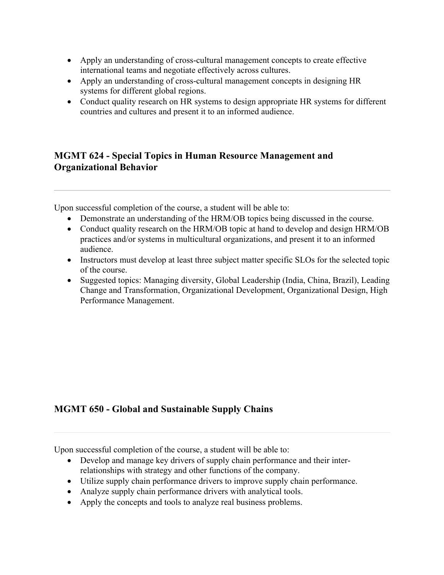- Apply an understanding of cross-cultural management concepts to create effective international teams and negotiate effectively across cultures.
- Apply an understanding of cross-cultural management concepts in designing HR systems for different global regions.
- Conduct quality research on HR systems to design appropriate HR systems for different countries and cultures and present it to an informed audience.

### **MGMT 624 - Special Topics in Human Resource Management and Organizational Behavior**

Upon successful completion of the course, a student will be able to:

- Demonstrate an understanding of the HRM/OB topics being discussed in the course.
- Conduct quality research on the HRM/OB topic at hand to develop and design HRM/OB practices and/or systems in multicultural organizations, and present it to an informed audience.
- Instructors must develop at least three subject matter specific SLOs for the selected topic of the course.
- Suggested topics: Managing diversity, Global Leadership (India, China, Brazil), Leading Change and Transformation, Organizational Development, Organizational Design, High Performance Management.

### **MGMT 650 - Global and Sustainable Supply Chains**

- Develop and manage key drivers of supply chain performance and their interrelationships with strategy and other functions of the company.
- Utilize supply chain performance drivers to improve supply chain performance.
- Analyze supply chain performance drivers with analytical tools.
- Apply the concepts and tools to analyze real business problems.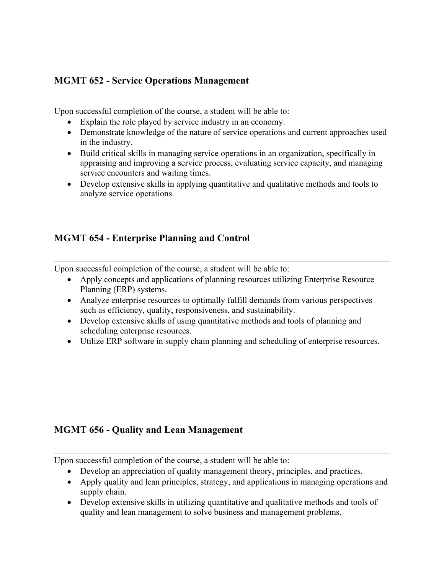### **MGMT 652 - Service Operations Management**

Upon successful completion of the course, a student will be able to:

- Explain the role played by service industry in an economy.
- Demonstrate knowledge of the nature of service operations and current approaches used in the industry.
- Build critical skills in managing service operations in an organization, specifically in appraising and improving a service process, evaluating service capacity, and managing service encounters and waiting times.
- Develop extensive skills in applying quantitative and qualitative methods and tools to analyze service operations.

### **MGMT 654 - Enterprise Planning and Control**

Upon successful completion of the course, a student will be able to:

- Apply concepts and applications of planning resources utilizing Enterprise Resource Planning (ERP) systems.
- Analyze enterprise resources to optimally fulfill demands from various perspectives such as efficiency, quality, responsiveness, and sustainability.
- Develop extensive skills of using quantitative methods and tools of planning and scheduling enterprise resources.
- Utilize ERP software in supply chain planning and scheduling of enterprise resources.

#### **MGMT 656 - Quality and Lean Management**

- Develop an appreciation of quality management theory, principles, and practices.
- Apply quality and lean principles, strategy, and applications in managing operations and supply chain.
- Develop extensive skills in utilizing quantitative and qualitative methods and tools of quality and lean management to solve business and management problems.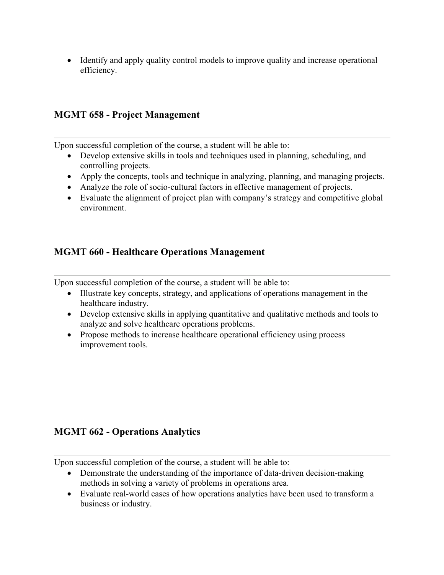• Identify and apply quality control models to improve quality and increase operational efficiency.

### **MGMT 658 - Project Management**

Upon successful completion of the course, a student will be able to:

- Develop extensive skills in tools and techniques used in planning, scheduling, and controlling projects.
- Apply the concepts, tools and technique in analyzing, planning, and managing projects.
- Analyze the role of socio-cultural factors in effective management of projects.
- Evaluate the alignment of project plan with company's strategy and competitive global environment.

### **MGMT 660 - Healthcare Operations Management**

Upon successful completion of the course, a student will be able to:

- Illustrate key concepts, strategy, and applications of operations management in the healthcare industry.
- Develop extensive skills in applying quantitative and qualitative methods and tools to analyze and solve healthcare operations problems.
- Propose methods to increase healthcare operational efficiency using process improvement tools.

#### **MGMT 662 - Operations Analytics**

- Demonstrate the understanding of the importance of data-driven decision-making methods in solving a variety of problems in operations area.
- Evaluate real-world cases of how operations analytics have been used to transform a business or industry.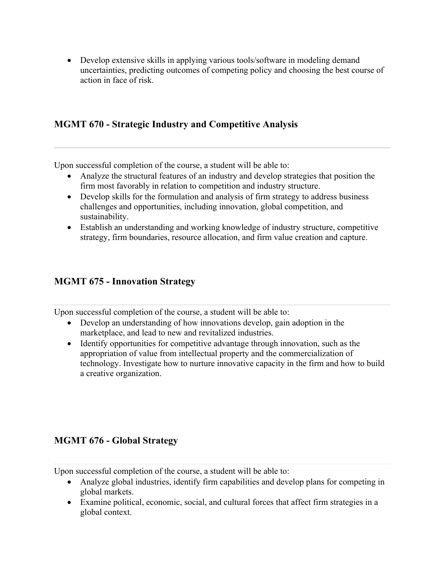• Develop extensive skills in applying various tools/software in modeling demand uncertainties, predicting outcomes of competing policy and choosing the best course of action in face of risk.

### **MGMT 670 - Strategic Industry and Competitive Analysis**

Upon successful completion of the course, a student will be able to:

- Analyze the structural features of an industry and develop strategies that position the firm most favorably in relation to competition and industry structure.
- Develop skills for the formulation and analysis of firm strategy to address business challenges and opportunities, including innovation, global competition, and sustainability.
- Establish an understanding and working knowledge of industry structure, competitive strategy, firm boundaries, resource allocation, and firm value creation and capture.

### **MGMT 675 - Innovation Strategy**

Upon successful completion of the course, a student will be able to:

- Develop an understanding of how innovations develop, gain adoption in the marketplace, and lead to new and revitalized industries.
- Identify opportunities for competitive advantage through innovation, such as the appropriation of value from intellectual property and the commercialization of technology. Investigate how to nurture innovative capacity in the firm and how to build a creative organization.

### **MGMT 676 - Global Strategy**

- Analyze global industries, identify firm capabilities and develop plans for competing in global markets.
- Examine political, economic, social, and cultural forces that affect firm strategies in a global context.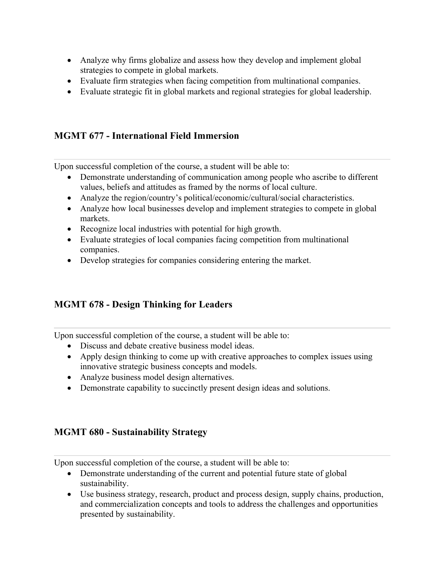- Analyze why firms globalize and assess how they develop and implement global strategies to compete in global markets.
- Evaluate firm strategies when facing competition from multinational companies.
- Evaluate strategic fit in global markets and regional strategies for global leadership.

## **MGMT 677 - International Field Immersion**

Upon successful completion of the course, a student will be able to:

- Demonstrate understanding of communication among people who ascribe to different values, beliefs and attitudes as framed by the norms of local culture.
- Analyze the region/country's political/economic/cultural/social characteristics.
- Analyze how local businesses develop and implement strategies to compete in global markets.
- Recognize local industries with potential for high growth.
- Evaluate strategies of local companies facing competition from multinational companies.
- Develop strategies for companies considering entering the market.

### **MGMT 678 - Design Thinking for Leaders**

Upon successful completion of the course, a student will be able to:

- Discuss and debate creative business model ideas.
- Apply design thinking to come up with creative approaches to complex issues using innovative strategic business concepts and models.
- Analyze business model design alternatives.
- Demonstrate capability to succinctly present design ideas and solutions.

### **MGMT 680 - Sustainability Strategy**

- Demonstrate understanding of the current and potential future state of global sustainability.
- Use business strategy, research, product and process design, supply chains, production, and commercialization concepts and tools to address the challenges and opportunities presented by sustainability.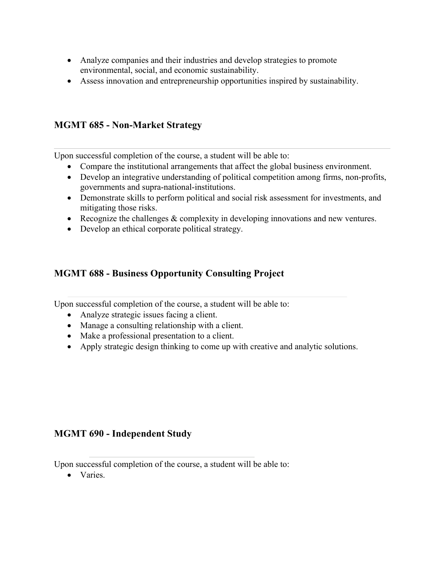- Analyze companies and their industries and develop strategies to promote environmental, social, and economic sustainability.
- Assess innovation and entrepreneurship opportunities inspired by sustainability.

### **MGMT 685 - Non-Market Strategy**

Upon successful completion of the course, a student will be able to:

- Compare the institutional arrangements that affect the global business environment.
- Develop an integrative understanding of political competition among firms, non-profits, governments and supra-national-institutions.
- Demonstrate skills to perform political and social risk assessment for investments, and mitigating those risks.
- Recognize the challenges & complexity in developing innovations and new ventures.
- Develop an ethical corporate political strategy.

### **MGMT 688 - Business Opportunity Consulting Project**

Upon successful completion of the course, a student will be able to:

- Analyze strategic issues facing a client.
- Manage a consulting relationship with a client.
- Make a professional presentation to a client.
- Apply strategic design thinking to come up with creative and analytic solutions.

#### **MGMT 690 - Independent Study**

Upon successful completion of the course, a student will be able to:

• Varies.